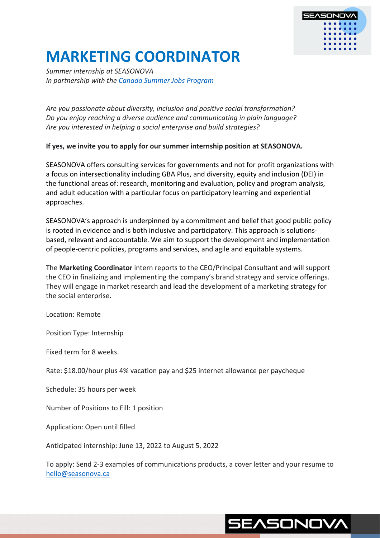

# **MARKETING COORDINATOR**

*Summer internship at SEASONOVA In partnership with the Canada Summer Jobs Program*

*Are you passionate about diversity, inclusion and positive social transformation? Do you enjoy reaching a diverse audience and communicating in plain language? Are you interested in helping a social enterprise and build strategies?*

**If yes, we invite you to apply for our summer internship position at SEASONOVA.** 

SEASONOVA offers consulting services for governments and not for profit organizations with a focus on intersectionality including GBA Plus, and diversity, equity and inclusion (DEI) in the functional areas of: research, monitoring and evaluation, policy and program analysis, and adult education with a particular focus on participatory learning and experiential approaches.

SEASONOVA's approach is underpinned by a commitment and belief that good public policy is rooted in evidence and is both inclusive and participatory. This approach is solutionsbased, relevant and accountable. We aim to support the development and implementation of people-centric policies, programs and services, and agile and equitable systems.

The **Marketing Coordinator** intern reports to the CEO/Principal Consultant and will support the CEO in finalizing and implementing the company's brand strategy and service offerings. They will engage in market research and lead the development of a marketing strategy for the social enterprise.

Location: Remote

Position Type: Internship

Fixed term for 8 weeks.

Rate: \$18.00/hour plus 4% vacation pay and \$25 internet allowance per paycheque

Schedule: 35 hours per week

Number of Positions to Fill: 1 position

Application: Open until filled

Anticipated internship: June 13, 2022 to August 5, 2022

To apply: Send 2-3 examples of communications products, a cover letter and your resume to hello@seasonova.ca

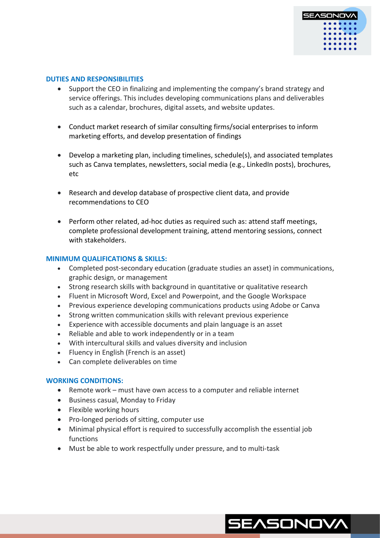

#### **DUTIES AND RESPONSIBILITIES**

- Support the CEO in finalizing and implementing the company's brand strategy and service offerings. This includes developing communications plans and deliverables such as a calendar, brochures, digital assets, and website updates.
- Conduct market research of similar consulting firms/social enterprises to inform marketing efforts, and develop presentation of findings
- Develop a marketing plan, including timelines, schedule(s), and associated templates such as Canva templates, newsletters, social media (e.g., LinkedIn posts), brochures, etc
- Research and develop database of prospective client data, and provide recommendations to CEO
- Perform other related, ad-hoc duties as required such as: attend staff meetings, complete professional development training, attend mentoring sessions, connect with stakeholders.

#### **MINIMUM QUALIFICATIONS & SKILLS:**

- Completed post-secondary education (graduate studies an asset) in communications, graphic design, or management
- Strong research skills with background in quantitative or qualitative research
- Fluent in Microsoft Word, Excel and Powerpoint, and the Google Workspace
- Previous experience developing communications products using Adobe or Canva
- Strong written communication skills with relevant previous experience
- Experience with accessible documents and plain language is an asset
- Reliable and able to work independently or in a team
- With intercultural skills and values diversity and inclusion
- Fluency in English (French is an asset)
- Can complete deliverables on time

## **WORKING CONDITIONS:**

- Remote work must have own access to a computer and reliable internet
- Business casual, Monday to Friday
- Flexible working hours
- Pro-longed periods of sitting, computer use
- Minimal physical effort is required to successfully accomplish the essential job functions
- Must be able to work respectfully under pressure, and to multi-task